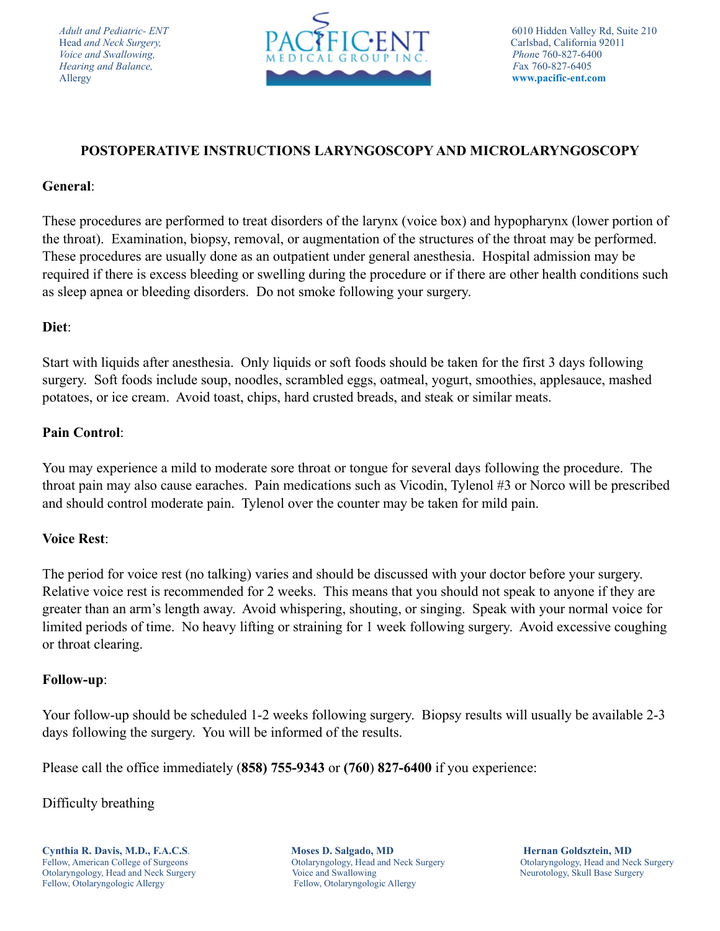

# **POSTOPERATIVE INSTRUCTIONS LARYNGOSCOPY AND MICROLARYNGOSCOPY**

### **General**:

These procedures are performed to treat disorders of the larynx (voice box) and hypopharynx (lower portion of the throat). Examination, biopsy, removal, or augmentation of the structures of the throat may be performed. These procedures are usually done as an outpatient under general anesthesia. Hospital admission may be required if there is excess bleeding or swelling during the procedure or if there are other health conditions such as sleep apnea or bleeding disorders. Do not smoke following your surgery.

## **Diet**:

Start with liquids after anesthesia. Only liquids or soft foods should be taken for the first 3 days following surgery. Soft foods include soup, noodles, scrambled eggs, oatmeal, yogurt, smoothies, applesauce, mashed potatoes, or ice cream. Avoid toast, chips, hard crusted breads, and steak or similar meats.

## **Pain Control**:

You may experience a mild to moderate sore throat or tongue for several days following the procedure. The throat pain may also cause earaches. Pain medications such as Vicodin, Tylenol #3 or Norco will be prescribed and should control moderate pain. Tylenol over the counter may be taken for mild pain.

#### **Voice Rest**:

The period for voice rest (no talking) varies and should be discussed with your doctor before your surgery. Relative voice rest is recommended for 2 weeks. This means that you should not speak to anyone if they are greater than an arm's length away. Avoid whispering, shouting, or singing. Speak with your normal voice for limited periods of time. No heavy lifting or straining for 1 week following surgery. Avoid excessive coughing or throat clearing.

#### **Follow-up**:

Your follow-up should be scheduled 1-2 weeks following surgery. Biopsy results will usually be available 2-3 days following the surgery. You will be informed of the results.

Please call the office immediately (**858) 755-9343** or **(760**) **827-6400** if you experience:

Difficulty breathing

Fellow, American College of Surgeons Otolaryngology, Head and Neck Surgery Otolaryngology, Head and Neck Surgery Otolaryngology, Head and Neck Surgery Voice and Swallowing Neurotology, Skull Base Surgery Neurotology, Skull Base Surgery Fellow, Otolaryngologic Allergy Fellow, Otolaryngologic Allergy

**Cynthia R. Davis, M.D., F.A.C.S. Moses D. Salgado, MD Hernan Goldsztein, MD**